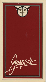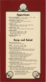

# **Apperizers**

PEEL & EAT SHRIMP  $1/4$  lb.  $3.95$  $1/2$  lb.  $6.95$ Served with Jasper's tangy cocktail sauce.

MOZZARELLA STICKS 2.95<br>Deep fried to a golden brown and served with our zesty spaghetti sauce.

**NACHOS** 2.95

Mild cheddar cheese melted over crisp tortilla chips, topped with jalapenos and sour cream.

NACHOS OLE 3.95 Same as regular Nachos, topped with spicy taco beef.

# **POTATO SKINS**

Plain, fried to a golden brown 2.95<br>Taco meat and cheddar cheese 3.95 Cheddar cheese and bacon 3.95

**CHICKEN WINGS 2.95** Buffalo style.

# **SOUP AND SALAD**

## SOUP of the DAY 1.25

A hearty soup made fresh daily.

**CHILI** Cup 1.75 Crock 2.50 Our own award winning chili recipe.

#### **FRENCH ONION SOUP** 2.50

Sweet onions sauteed and blended with rich beef stock and wine, served in a crock with toasted bread cubes and provolone cheese.

THE PARKE SALAD BOWL 4.75<br>Chilled mixed greens topped with julienne of ham, turkey and Swiss and American cheese, tomato<br>wedge and hard cooked eggs, capped with croutons and bacon crumbs, dressing.

## **JASPER'S CHICKEN SALAD 4.95**

Tender pieces of chicken, diced celery and toasted pecans in real mayonnaise, served with fresh fruit garnish and a croissant.

#### THE BANANA SPLIT 3.95

A split banana rolled in granola cereal, a generous scoop of cottage cheese and fresh fruits of the season.

### SOUTH of the BORDER 5.25

Spicy taco beef in a crisp tortilla shell layered with refried beans, fresh lettuce, diced tomatoes, shredded cheese, black olives, topped with guacamole and sour cream.

## A PEASANT'S LUNCH 4.50

A cup of Jasper's Soup of the Day, tossed salad, croissant and a glass of our house wine.

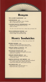

# THE ALL-BEEF HAMBURGER 3.95

#### **CHEESEBURGER 4.25**

Your choice of American, Swiss, Cheddar, Bleu or dairy-fresh sour cream.

**CANADIAN BACON CHEESEBURGER 4.95** Topped with Canadian Bacon and your choice of cheese.

The above served with French Fries or Potato Chips and Kosher Dill

#### THE SCANDINAVIAN BURGER 4.25 Fresh ground sirloin, cottage cheese, tomato wedges and hard-boiled egg.

# **HEARTY SANDWICHES**

Served with French Fries or Potato Chips and Kosher Dill

## **REUBEN'S REUBEN 4.95**

Always a favorite! Corned beef, Swiss cheese, sauerkraut and Thousand Island dressing on rye.

### **GRILLED CHEESE and BACON 3.50** Grilled with fresh sliced tomato.

### THE ITALIAN SAUSAGE SUB 4.25

Grilled Italian sausage with peppers and onions served on a crusty roll.

# **GRILLED CHICKEN BREAST 3.95**

Lightly seasoned and topped with Swiss or American cheese.

### **FAMOUS KENTUCKY HOT BROWN 4.75**

Sliced breast of turkey served over toast and smothered in a creamy cheese sauce, topped with bacon, tomato and mushrooms, then quickly browned.

### THE FRENCH DIP 4.25

Thinly sliced roast beef piled high on a French loaf with a cup of au jus.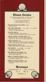

# **DINNER ENTREES**

Served Monday through Thursday 5:00 P.M.- 10:00 P.M. Friday and Saturday 5:00 P.M.- 11:00 P.M.

> Served with a Tossed Garden Salad and Choice of Vegetable of the Day,<br>Rice Pilaf, Baked Potato or French Fries.

**SEAFOOD FETTUCCINI ALFREDO 10.25** With garlic bread.

**NEW YORK STRIP STEAK** 10 oz. 12.95 14 oz. 14.95 Select cut of choice strip smothered in sauteed mushrooms.

# THE DAILY SPECIAL

It changes daily and it's always delicious.<br>Your server will tell you all about it and if there's any left!

**GRILLED CENTER CUT PORK CHOPS** 9.25<br>Cut from the center of the loin, gently broiled until golden brown, with a side of cinnamon apple sauce.

## **CHICKEN TERIYAKI 8.25**

Tender boneless breast of chicken, lightly marinated and grilled, served with rice pilaf and julienne of vegetables.

### **BROILED BOSTON SCROD 8.95**

Broiled North Atlantic cod topped with lemon butter.

#### **FILET MIGNON**  $6$  oz.  $10.95$ 8 oz. 13.95 The ultimate in tenderness, served with sauteed mushrooms.

# DEEP FRIED FANTAIL SHRIMP 9.25

Gulf shrimp deep fried and served with Jasper's tangy cocktail sauce.

**BREAST of CHICKEN SAUTEED 8.95** Served with a bouquet of garden vegetables and a delicate supreme sauce.

SHRIMP and SCALLOP KABOB 12.95 Skewered and delicately broiled in herbs and butter.

Tea .75

# **BEVERAGES**

Fresh Brewed Coffee .75

Regular or Decaffeinated.



**Soft Drinks** .95

CLEVELAND MENU PRINTING INC. "SINCE 1930

Milk .95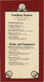

# **LUNCHEON ENTREES**

Served 11:00 A.M. - 2:00 P.M.

Served with Garden Tossed Salad or Soup, Vegetable or Potato.

THE LUNCHEON STEAK 6.95 A petite filet, broiled to perfection.

THE CHEF'S OMELETTE 3.95 A fluffy three-egg omelette with a special filling of the day.

FILET of BOSTON SCROD 5.95 Broiled North Atlantic cod topped with lemon butter.

**OUICHE** of the DAY 4.25 A large wedge of our homemade quiche,<br>served with fresh fruit.

THE CHEF'S SPECIAL It changes daily and it's always delicious.<br>Your server will tell you all about it.

# **Clubs and CROISSANTS**

# JASPER'S CHICKEN SALAD on a CROISSANT 4.25

Tender pieces of chicken, diced celery and toasted pecans in real mayonnaise on a croissant, served with fresh fruit garnish.

THE PARKE CLUB 4.25

Ham, turkey, American cheese, Swiss cheese and<br>tomato on white toast, served with a crisp Kosher Dill and chips.

### SOUP and a HALF 3.50

Half a croisssant sandwich with your choice of shaved ham or turkey with a cup of Jasper's Soup of the Day.

### THE CALIFORNIA CLUB 4.50

Turkey, bacon, lettuce and tomato served on<br>raisin toast with fresh fruit garnish.